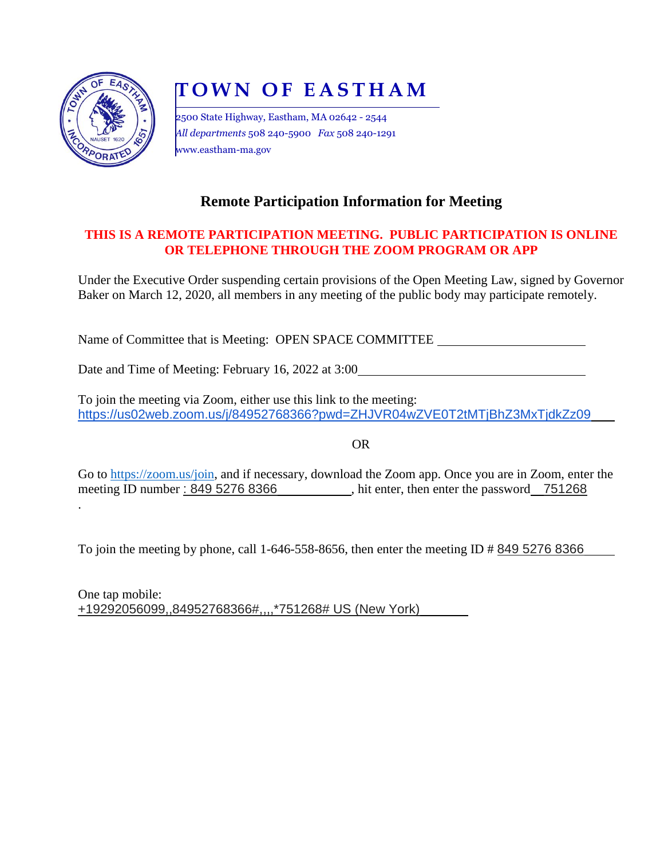

.

# **T O W N O F E A S T H A M**

2500 State Highway, Eastham, MA 02642 - 2544 *All departments* 508 240-5900 *Fax* 508 240-1291 www.eastham-ma.gov

# **Remote Participation Information for Meeting**

## **THIS IS A REMOTE PARTICIPATION MEETING. PUBLIC PARTICIPATION IS ONLINE OR TELEPHONE THROUGH THE ZOOM PROGRAM OR APP**

Under the Executive Order suspending certain provisions of the Open Meeting Law, signed by Governor Baker on March 12, 2020, all members in any meeting of the public body may participate remotely.

Name of Committee that is Meeting: OPEN SPACE COMMITTEE

Date and Time of Meeting: February 16, 2022 at 3:00

To join the meeting via Zoom, either use this link to the meeting: https://us02web.zoom.us/j/84952768366?pwd=ZHJVR04wZVE0T2tMTjBhZ3MxTjdkZz09

OR

Go to [https://zoom.us/join,](https://zoom.us/join) and if necessary, download the Zoom app. Once you are in Zoom, enter the meeting ID number: 849 5276 8366 , hit enter, then enter the password 751268

To join the meeting by phone, call 1-646-558-8656, then enter the meeting ID # 849 5276 8366

One tap mobile: +19292056099,,84952768366#,,,,\*751268# US (New York)